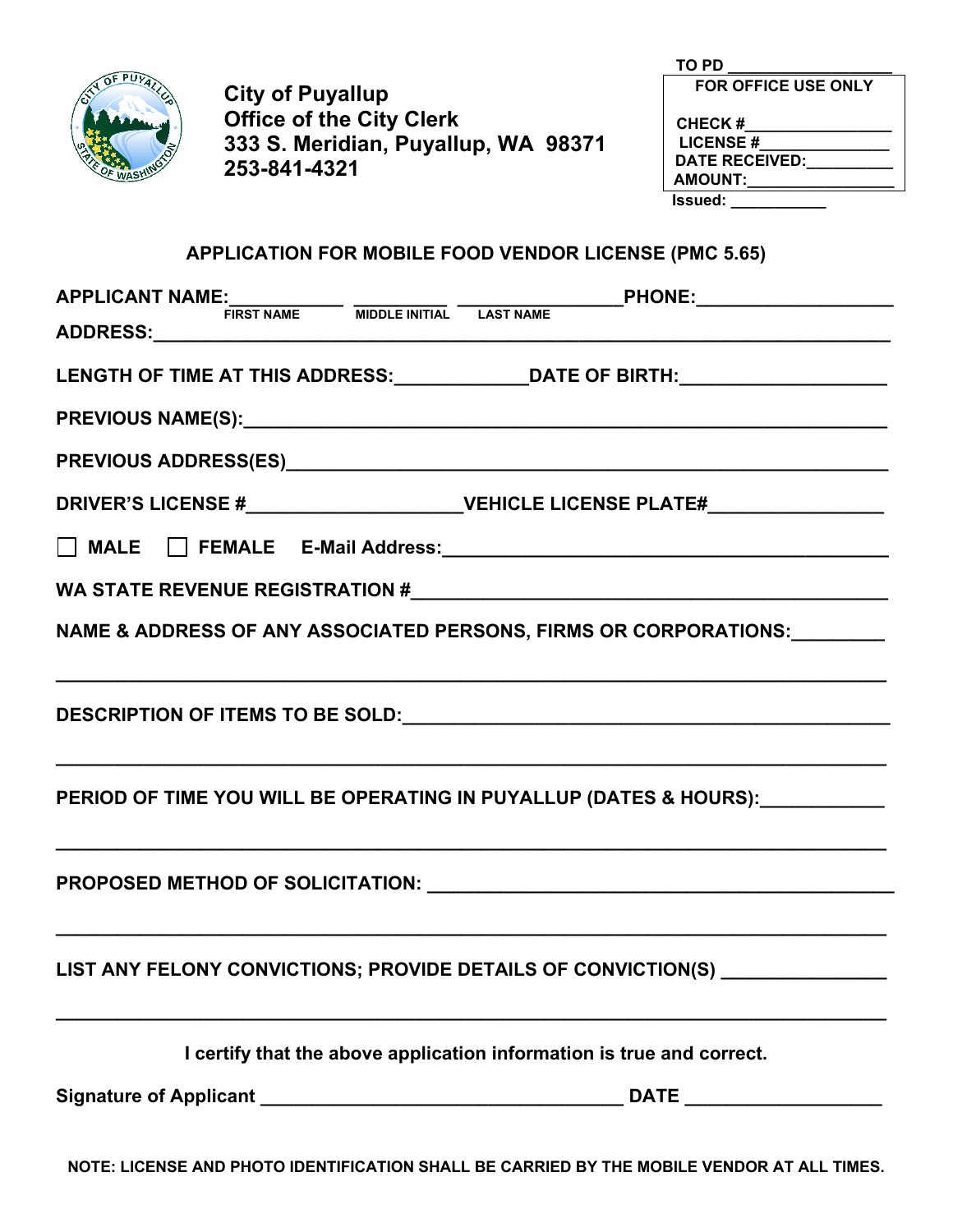

**City of Puyallup Office of the City Clerk 333 S. Meridian, Puyallup, WA 98371 253-841-4321** 

| TO PD                      |
|----------------------------|
| <b>FOR OFFICE USE ONLY</b> |
| <b>CHECK#</b>              |
| <b>LICENSE#</b>            |
| <b>DATE RECEIVED:</b>      |
| <b>AMOUNT:</b>             |
| Issued:                    |

**APPLICATION FOR MOBILE FOOD VENDOR LICENSE (PMC 5.65)** 

|                                                               | APPLICANT NAME:<br>FIRST NAME MIDDLE INITIAL LAST NAME PHONE: FIRST NAME                                                            |
|---------------------------------------------------------------|-------------------------------------------------------------------------------------------------------------------------------------|
|                                                               | LENGTH OF TIME AT THIS ADDRESS:_______________DATE OF BIRTH:____________________                                                    |
|                                                               |                                                                                                                                     |
|                                                               |                                                                                                                                     |
|                                                               | DRIVER'S LICENSE #___________________________VEHICLE LICENSE PLATE#_____________                                                    |
|                                                               |                                                                                                                                     |
|                                                               |                                                                                                                                     |
|                                                               | NAME & ADDRESS OF ANY ASSOCIATED PERSONS, FIRMS OR CORPORATIONS: ________                                                           |
|                                                               |                                                                                                                                     |
|                                                               | PERIOD OF TIME YOU WILL BE OPERATING IN PUYALLUP (DATES & HOURS): PERIOD OF TIME YOU WILL BE OPERATING IN PUYALLUP (DATES & HOURS): |
|                                                               |                                                                                                                                     |
| LIST ANY FELONY CONVICTIONS; PROVIDE DETAILS OF CONVICTION(S) |                                                                                                                                     |
|                                                               | I certify that the above application information is true and correct.                                                               |
|                                                               | <b>DATE Example 20</b>                                                                                                              |

**NOTE: LICENSE AND PHOTO IDENTIFICATION SHALL BE CARRIED BY THE MOBILE VENDOR AT ALL TIMES.**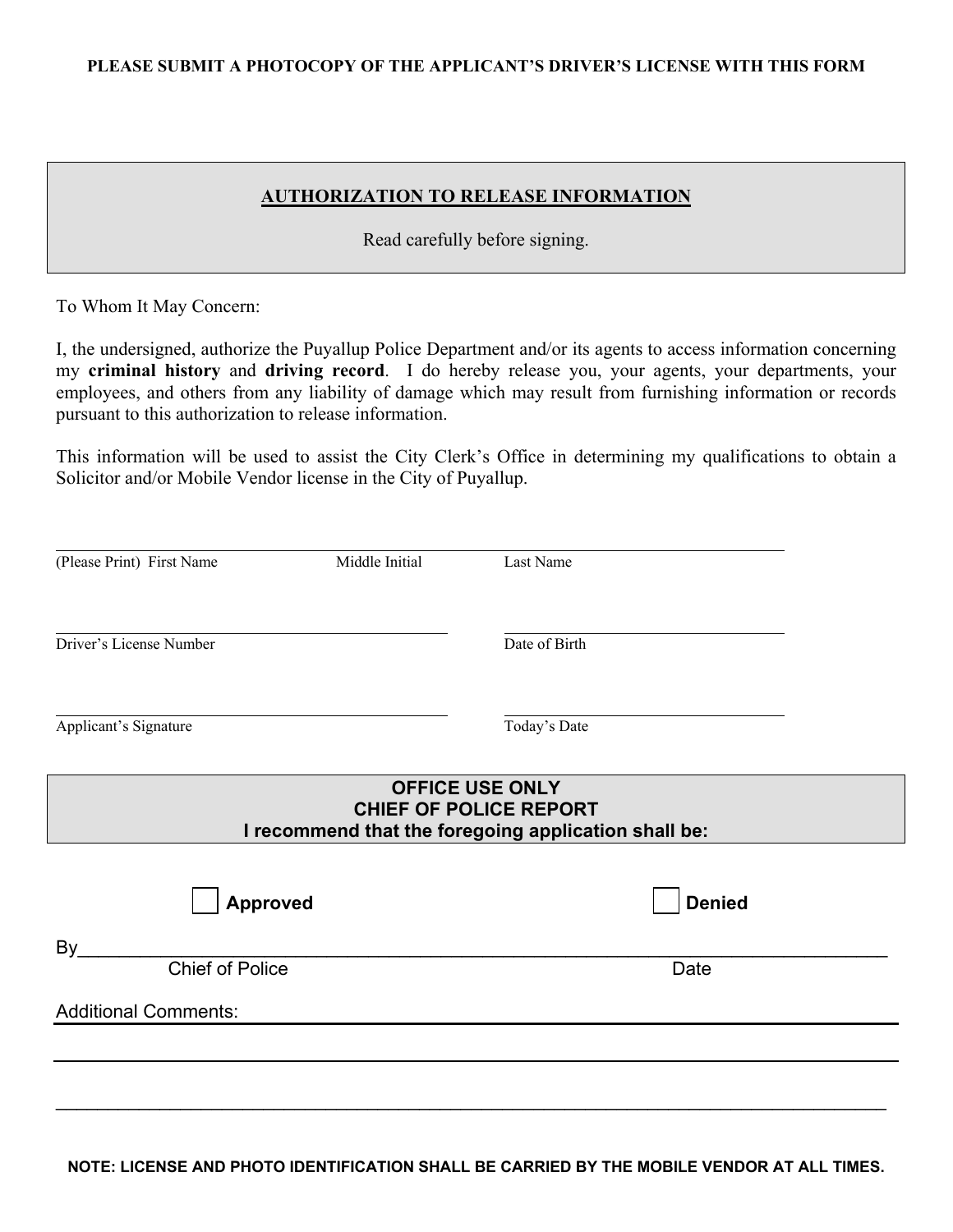### **PLEASE SUBMIT A PHOTOCOPY OF THE APPLICANT'S DRIVER'S LICENSE WITH THIS FORM**

## **AUTHORIZATION TO RELEASE INFORMATION**

Read carefully before signing.

To Whom It May Concern:

I, the undersigned, authorize the Puyallup Police Department and/or its agents to access information concerning my **criminal history** and **driving record**. I do hereby release you, your agents, your departments, your employees, and others from any liability of damage which may result from furnishing information or records pursuant to this authorization to release information.

This information will be used to assist the City Clerk's Office in determining my qualifications to obtain a Solicitor and/or Mobile Vendor license in the City of Puyallup.

| (Please Print) First Name                                                                                       | Middle Initial | Last Name     |  |  |
|-----------------------------------------------------------------------------------------------------------------|----------------|---------------|--|--|
| Driver's License Number                                                                                         |                | Date of Birth |  |  |
| Applicant's Signature                                                                                           |                | Today's Date  |  |  |
| <b>OFFICE USE ONLY</b><br><b>CHIEF OF POLICE REPORT</b><br>I recommend that the foregoing application shall be: |                |               |  |  |
| Approved                                                                                                        |                | <b>Denied</b> |  |  |
| By<br><b>Chief of Police</b>                                                                                    |                | Date          |  |  |
| <b>Additional Comments:</b>                                                                                     |                |               |  |  |
|                                                                                                                 |                |               |  |  |

**NOTE: LICENSE AND PHOTO IDENTIFICATION SHALL BE CARRIED BY THE MOBILE VENDOR AT ALL TIMES.**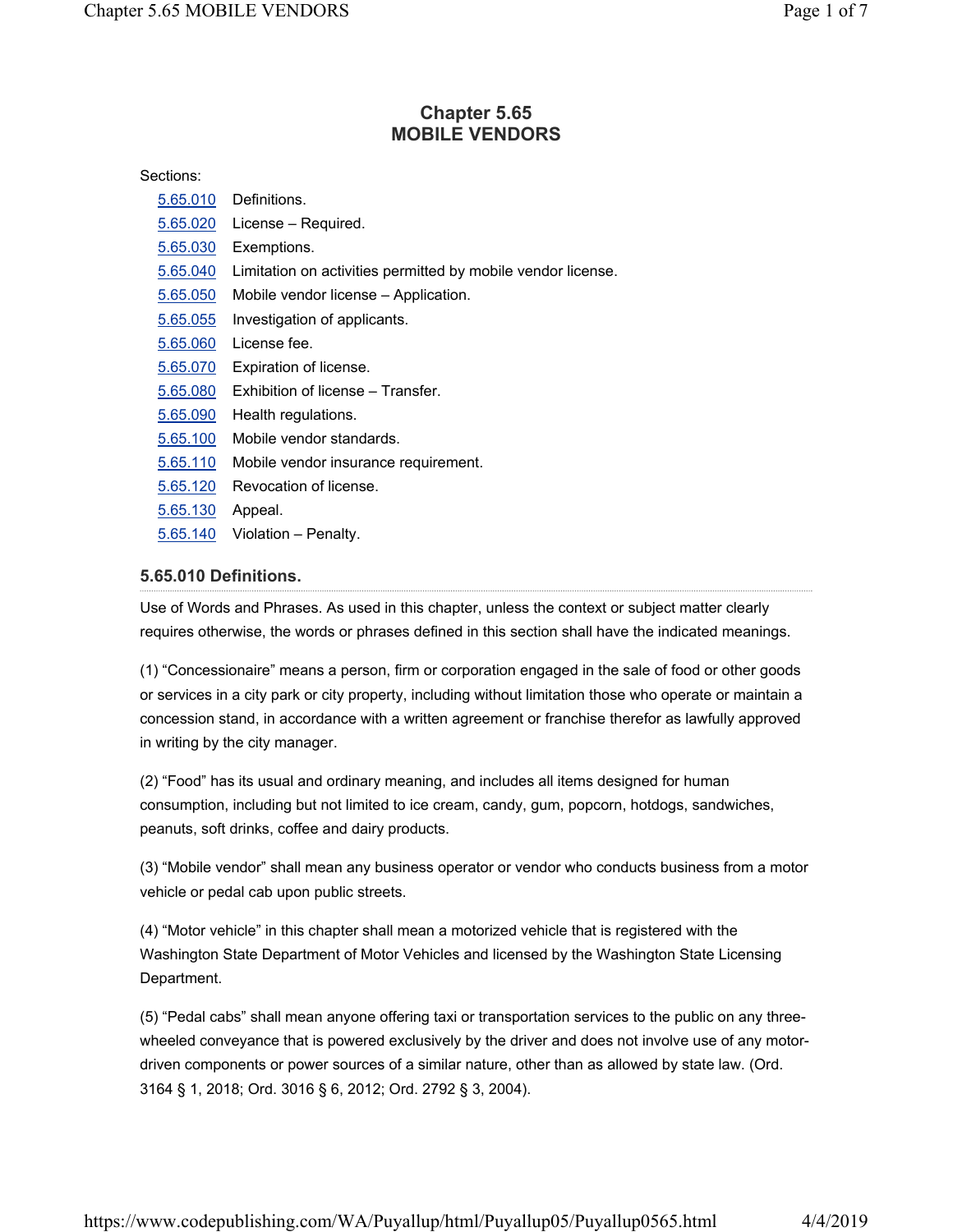# **Chapter 5.65 MOBILE VENDORS**

#### Sections:

| 5.65.010 | Definitions.                                                 |
|----------|--------------------------------------------------------------|
| 5.65.020 | License – Required.                                          |
| 5.65.030 | Exemptions.                                                  |
| 5.65.040 | Limitation on activities permitted by mobile vendor license. |
| 5.65.050 | Mobile vendor license – Application.                         |
| 5.65.055 | Investigation of applicants.                                 |
| 5.65.060 | License fee.                                                 |
| 5.65.070 | Expiration of license.                                       |
| 5.65.080 | Exhibition of license – Transfer.                            |
| 5.65.090 | Health regulations.                                          |
| 5.65.100 | Mobile vendor standards.                                     |
| 5.65.110 | Mobile vendor insurance requirement.                         |
| 5.65.120 | Revocation of license.                                       |
| 5.65.130 | Appeal.                                                      |
| 5.65.140 | Violation – Penalty.                                         |
|          |                                                              |

## **5.65.010 Definitions.**

Use of Words and Phrases. As used in this chapter, unless the context or subject matter clearly requires otherwise, the words or phrases defined in this section shall have the indicated meanings.

(1) "Concessionaire" means a person, firm or corporation engaged in the sale of food or other goods or services in a city park or city property, including without limitation those who operate or maintain a concession stand, in accordance with a written agreement or franchise therefor as lawfully approved in writing by the city manager.

(2) "Food" has its usual and ordinary meaning, and includes all items designed for human consumption, including but not limited to ice cream, candy, gum, popcorn, hotdogs, sandwiches, peanuts, soft drinks, coffee and dairy products.

(3) "Mobile vendor" shall mean any business operator or vendor who conducts business from a motor vehicle or pedal cab upon public streets.

(4) "Motor vehicle" in this chapter shall mean a motorized vehicle that is registered with the Washington State Department of Motor Vehicles and licensed by the Washington State Licensing Department.

(5) "Pedal cabs" shall mean anyone offering taxi or transportation services to the public on any threewheeled conveyance that is powered exclusively by the driver and does not involve use of any motordriven components or power sources of a similar nature, other than as allowed by state law. (Ord. 3164 § 1, 2018; Ord. 3016 § 6, 2012; Ord. 2792 § 3, 2004).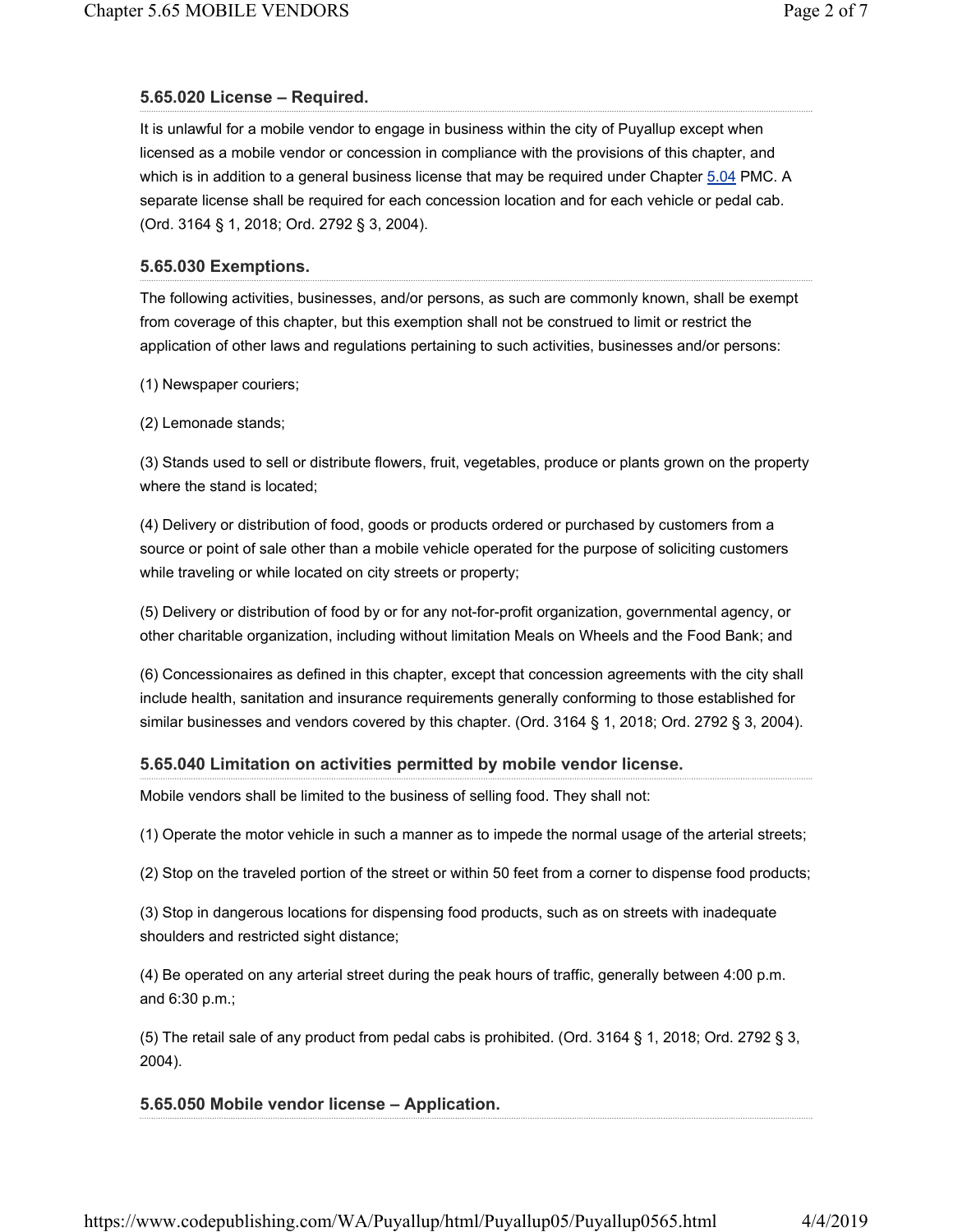## **5.65.020 License – Required.**

It is unlawful for a mobile vendor to engage in business within the city of Puyallup except when licensed as a mobile vendor or concession in compliance with the provisions of this chapter, and which is in addition to a general business license that may be required under Chapter 5.04 PMC. A separate license shall be required for each concession location and for each vehicle or pedal cab. (Ord. 3164 § 1, 2018; Ord. 2792 § 3, 2004).

#### **5.65.030 Exemptions.**

The following activities, businesses, and/or persons, as such are commonly known, shall be exempt from coverage of this chapter, but this exemption shall not be construed to limit or restrict the application of other laws and regulations pertaining to such activities, businesses and/or persons:

(1) Newspaper couriers;

(2) Lemonade stands;

(3) Stands used to sell or distribute flowers, fruit, vegetables, produce or plants grown on the property where the stand is located;

(4) Delivery or distribution of food, goods or products ordered or purchased by customers from a source or point of sale other than a mobile vehicle operated for the purpose of soliciting customers while traveling or while located on city streets or property;

(5) Delivery or distribution of food by or for any not-for-profit organization, governmental agency, or other charitable organization, including without limitation Meals on Wheels and the Food Bank; and

(6) Concessionaires as defined in this chapter, except that concession agreements with the city shall include health, sanitation and insurance requirements generally conforming to those established for similar businesses and vendors covered by this chapter. (Ord. 3164 § 1, 2018; Ord. 2792 § 3, 2004).

#### **5.65.040 Limitation on activities permitted by mobile vendor license.**

Mobile vendors shall be limited to the business of selling food. They shall not:

(1) Operate the motor vehicle in such a manner as to impede the normal usage of the arterial streets;

(2) Stop on the traveled portion of the street or within 50 feet from a corner to dispense food products;

(3) Stop in dangerous locations for dispensing food products, such as on streets with inadequate shoulders and restricted sight distance;

(4) Be operated on any arterial street during the peak hours of traffic, generally between 4:00 p.m. and 6:30 p.m.;

(5) The retail sale of any product from pedal cabs is prohibited. (Ord. 3164 § 1, 2018; Ord. 2792 § 3, 2004).

## **5.65.050 Mobile vendor license – Application.**

https://www.codepublishing.com/WA/Puyallup/html/Puyallup05/Puyallup0565.html 4/4/2019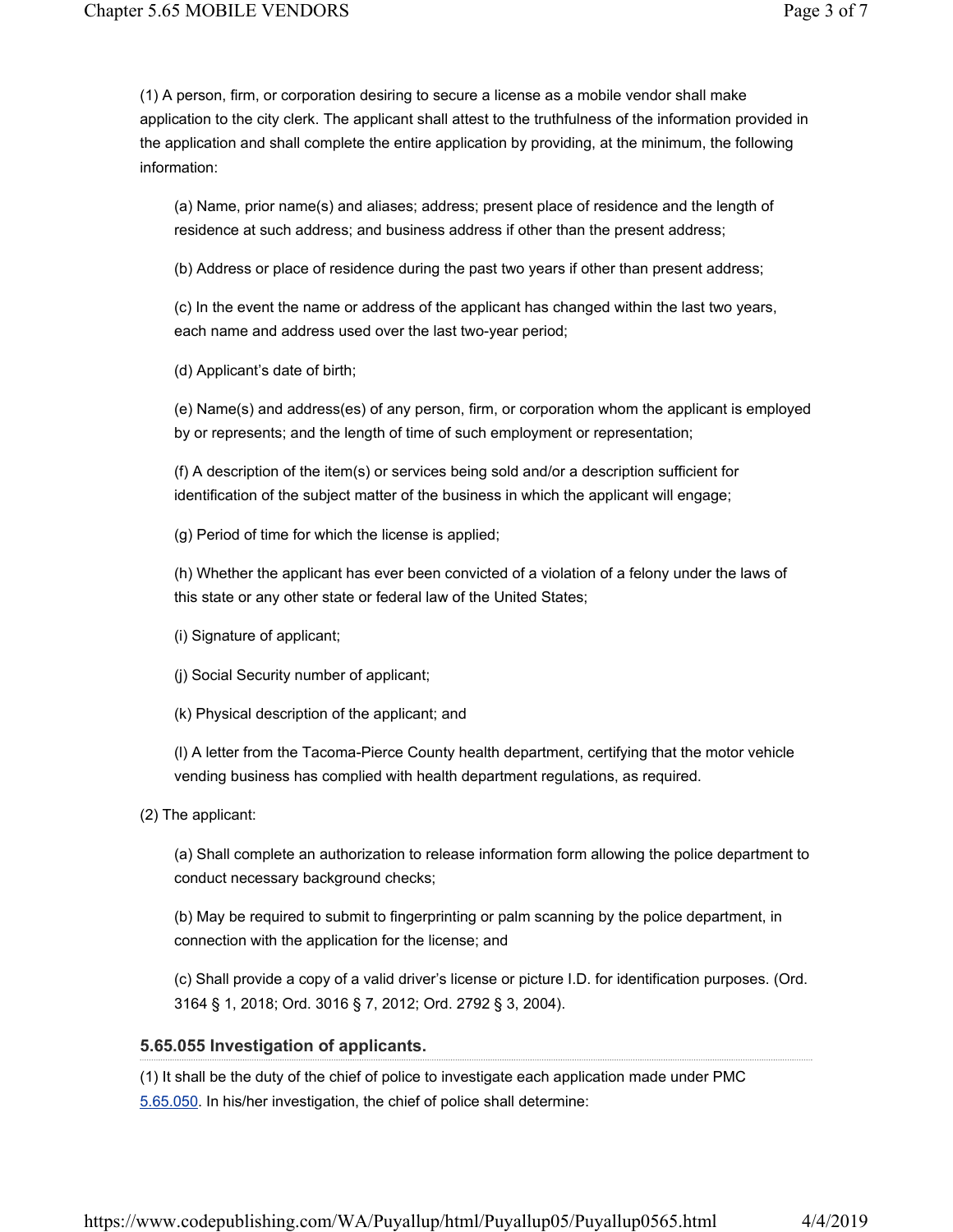(1) A person, firm, or corporation desiring to secure a license as a mobile vendor shall make application to the city clerk. The applicant shall attest to the truthfulness of the information provided in the application and shall complete the entire application by providing, at the minimum, the following information:

(a) Name, prior name(s) and aliases; address; present place of residence and the length of residence at such address; and business address if other than the present address;

(b) Address or place of residence during the past two years if other than present address;

(c) In the event the name or address of the applicant has changed within the last two years, each name and address used over the last two-year period;

(d) Applicant's date of birth;

(e) Name(s) and address(es) of any person, firm, or corporation whom the applicant is employed by or represents; and the length of time of such employment or representation;

(f) A description of the item(s) or services being sold and/or a description sufficient for identification of the subject matter of the business in which the applicant will engage;

(g) Period of time for which the license is applied;

(h) Whether the applicant has ever been convicted of a violation of a felony under the laws of this state or any other state or federal law of the United States;

(i) Signature of applicant;

(j) Social Security number of applicant;

(k) Physical description of the applicant; and

(l) A letter from the Tacoma-Pierce County health department, certifying that the motor vehicle vending business has complied with health department regulations, as required.

(2) The applicant:

(a) Shall complete an authorization to release information form allowing the police department to conduct necessary background checks;

(b) May be required to submit to fingerprinting or palm scanning by the police department, in connection with the application for the license; and

(c) Shall provide a copy of a valid driver's license or picture I.D. for identification purposes. (Ord. 3164 § 1, 2018; Ord. 3016 § 7, 2012; Ord. 2792 § 3, 2004).

## **5.65.055 Investigation of applicants.**

(1) It shall be the duty of the chief of police to investigate each application made under PMC 5.65.050. In his/her investigation, the chief of police shall determine: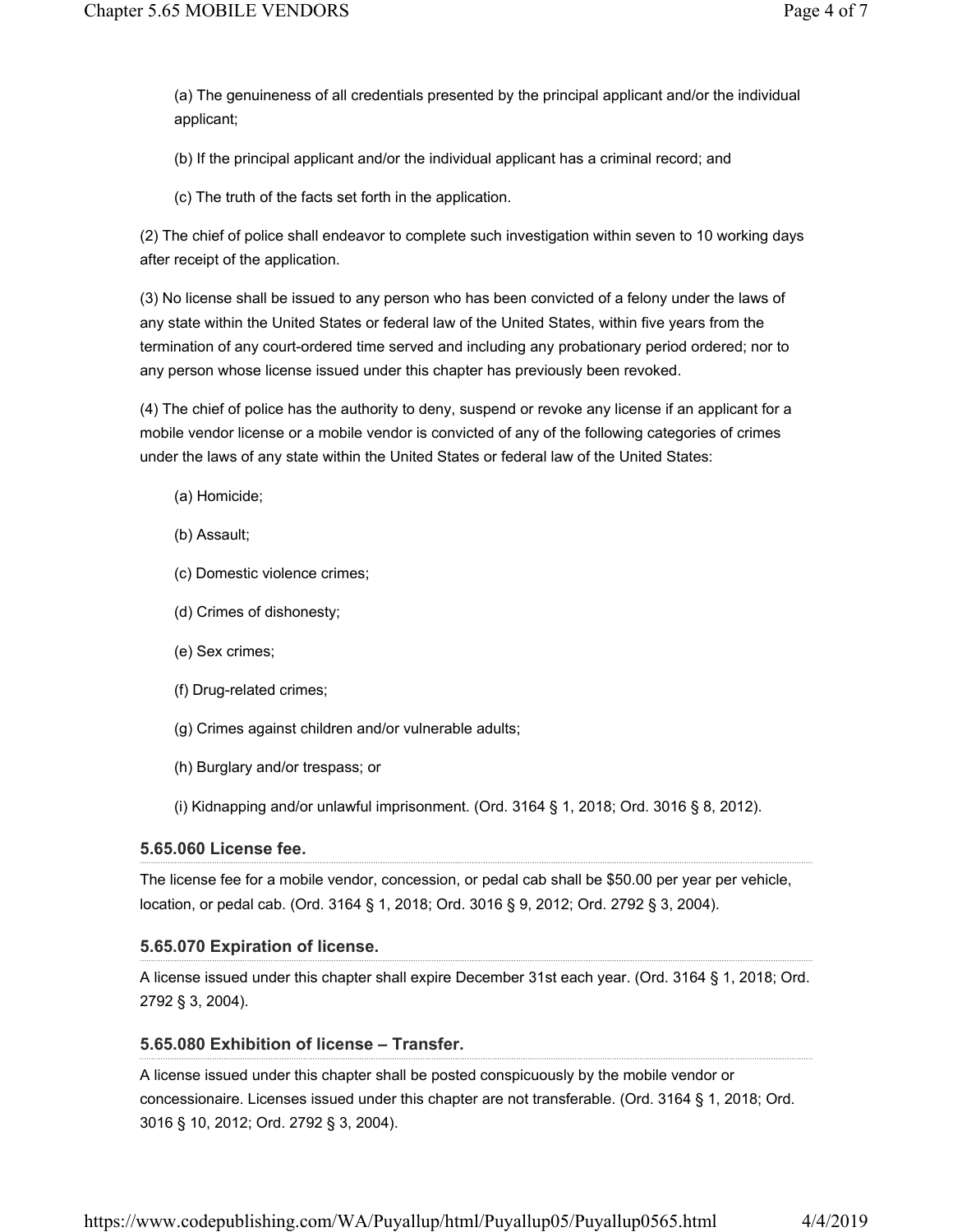(a) The genuineness of all credentials presented by the principal applicant and/or the individual applicant;

(b) If the principal applicant and/or the individual applicant has a criminal record; and

(c) The truth of the facts set forth in the application.

(2) The chief of police shall endeavor to complete such investigation within seven to 10 working days after receipt of the application.

(3) No license shall be issued to any person who has been convicted of a felony under the laws of any state within the United States or federal law of the United States, within five years from the termination of any court-ordered time served and including any probationary period ordered; nor to any person whose license issued under this chapter has previously been revoked.

(4) The chief of police has the authority to deny, suspend or revoke any license if an applicant for a mobile vendor license or a mobile vendor is convicted of any of the following categories of crimes under the laws of any state within the United States or federal law of the United States:

- (a) Homicide;
- (b) Assault;
- (c) Domestic violence crimes;
- (d) Crimes of dishonesty;
- (e) Sex crimes;
- (f) Drug-related crimes;
- (g) Crimes against children and/or vulnerable adults;
- (h) Burglary and/or trespass; or

(i) Kidnapping and/or unlawful imprisonment. (Ord. 3164 § 1, 2018; Ord. 3016 § 8, 2012).

#### **5.65.060 License fee.**

The license fee for a mobile vendor, concession, or pedal cab shall be \$50.00 per year per vehicle, location, or pedal cab. (Ord. 3164 § 1, 2018; Ord. 3016 § 9, 2012; Ord. 2792 § 3, 2004).

#### **5.65.070 Expiration of license.**

A license issued under this chapter shall expire December 31st each year. (Ord. 3164 § 1, 2018; Ord. 2792 § 3, 2004).

#### **5.65.080 Exhibition of license – Transfer.**

A license issued under this chapter shall be posted conspicuously by the mobile vendor or concessionaire. Licenses issued under this chapter are not transferable. (Ord. 3164 § 1, 2018; Ord. 3016 § 10, 2012; Ord. 2792 § 3, 2004).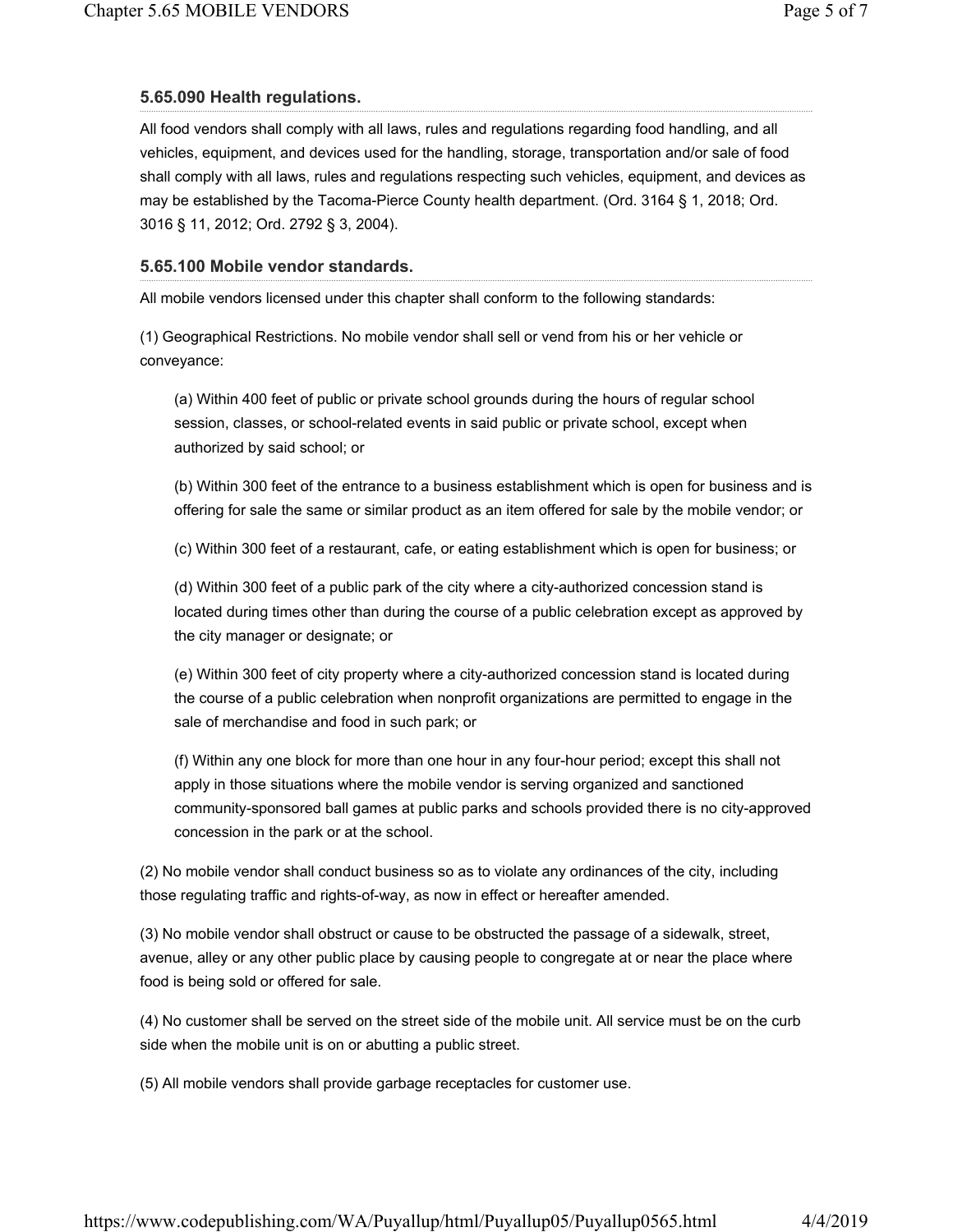## **5.65.090 Health regulations.**

All food vendors shall comply with all laws, rules and regulations regarding food handling, and all vehicles, equipment, and devices used for the handling, storage, transportation and/or sale of food shall comply with all laws, rules and regulations respecting such vehicles, equipment, and devices as may be established by the Tacoma-Pierce County health department. (Ord. 3164 § 1, 2018; Ord. 3016 § 11, 2012; Ord. 2792 § 3, 2004).

## **5.65.100 Mobile vendor standards.**

All mobile vendors licensed under this chapter shall conform to the following standards:

(1) Geographical Restrictions. No mobile vendor shall sell or vend from his or her vehicle or conveyance:

(a) Within 400 feet of public or private school grounds during the hours of regular school session, classes, or school-related events in said public or private school, except when authorized by said school; or

(b) Within 300 feet of the entrance to a business establishment which is open for business and is offering for sale the same or similar product as an item offered for sale by the mobile vendor; or

(c) Within 300 feet of a restaurant, cafe, or eating establishment which is open for business; or

(d) Within 300 feet of a public park of the city where a city-authorized concession stand is located during times other than during the course of a public celebration except as approved by the city manager or designate; or

(e) Within 300 feet of city property where a city-authorized concession stand is located during the course of a public celebration when nonprofit organizations are permitted to engage in the sale of merchandise and food in such park; or

(f) Within any one block for more than one hour in any four-hour period; except this shall not apply in those situations where the mobile vendor is serving organized and sanctioned community-sponsored ball games at public parks and schools provided there is no city-approved concession in the park or at the school.

(2) No mobile vendor shall conduct business so as to violate any ordinances of the city, including those regulating traffic and rights-of-way, as now in effect or hereafter amended.

(3) No mobile vendor shall obstruct or cause to be obstructed the passage of a sidewalk, street, avenue, alley or any other public place by causing people to congregate at or near the place where food is being sold or offered for sale.

(4) No customer shall be served on the street side of the mobile unit. All service must be on the curb side when the mobile unit is on or abutting a public street.

(5) All mobile vendors shall provide garbage receptacles for customer use.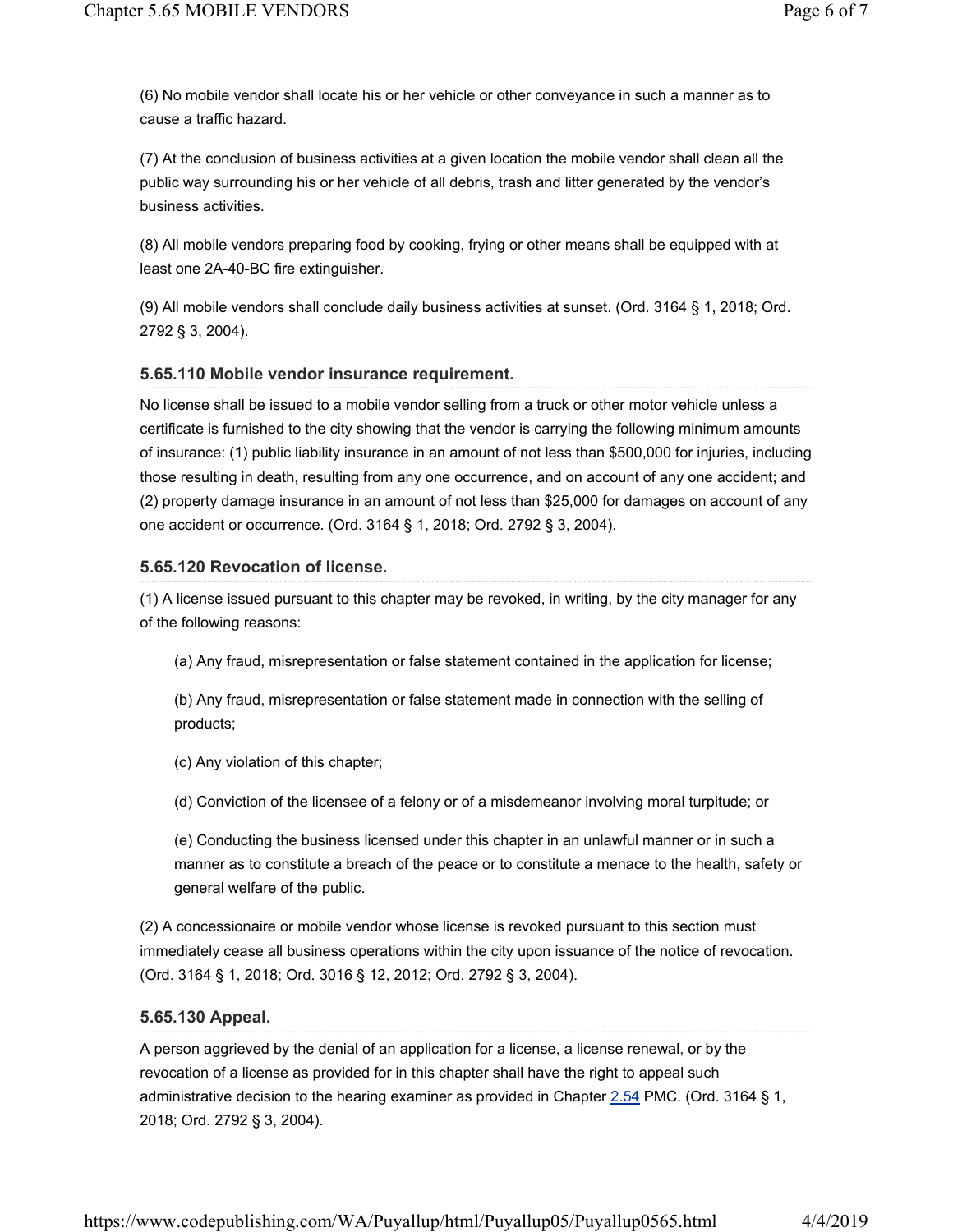(6) No mobile vendor shall locate his or her vehicle or other conveyance in such a manner as to cause a traffic hazard.

(7) At the conclusion of business activities at a given location the mobile vendor shall clean all the public way surrounding his or her vehicle of all debris, trash and litter generated by the vendor's business activities.

(8) All mobile vendors preparing food by cooking, frying or other means shall be equipped with at least one 2A-40-BC fire extinguisher.

(9) All mobile vendors shall conclude daily business activities at sunset. (Ord. 3164 § 1, 2018; Ord. 2792 § 3, 2004).

## **5.65.110 Mobile vendor insurance requirement.**

No license shall be issued to a mobile vendor selling from a truck or other motor vehicle unless a certificate is furnished to the city showing that the vendor is carrying the following minimum amounts of insurance: (1) public liability insurance in an amount of not less than \$500,000 for injuries, including those resulting in death, resulting from any one occurrence, and on account of any one accident; and (2) property damage insurance in an amount of not less than \$25,000 for damages on account of any one accident or occurrence. (Ord. 3164 § 1, 2018; Ord. 2792 § 3, 2004).

## **5.65.120 Revocation of license.**

(1) A license issued pursuant to this chapter may be revoked, in writing, by the city manager for any of the following reasons:

(a) Any fraud, misrepresentation or false statement contained in the application for license;

(b) Any fraud, misrepresentation or false statement made in connection with the selling of products;

(c) Any violation of this chapter;

(d) Conviction of the licensee of a felony or of a misdemeanor involving moral turpitude; or

(e) Conducting the business licensed under this chapter in an unlawful manner or in such a manner as to constitute a breach of the peace or to constitute a menace to the health, safety or general welfare of the public.

(2) A concessionaire or mobile vendor whose license is revoked pursuant to this section must immediately cease all business operations within the city upon issuance of the notice of revocation. (Ord. 3164 § 1, 2018; Ord. 3016 § 12, 2012; Ord. 2792 § 3, 2004).

## **5.65.130 Appeal.**

A person aggrieved by the denial of an application for a license, a license renewal, or by the revocation of a license as provided for in this chapter shall have the right to appeal such administrative decision to the hearing examiner as provided in Chapter  $2.54$  PMC. (Ord. 3164 § 1, 2018; Ord. 2792 § 3, 2004).